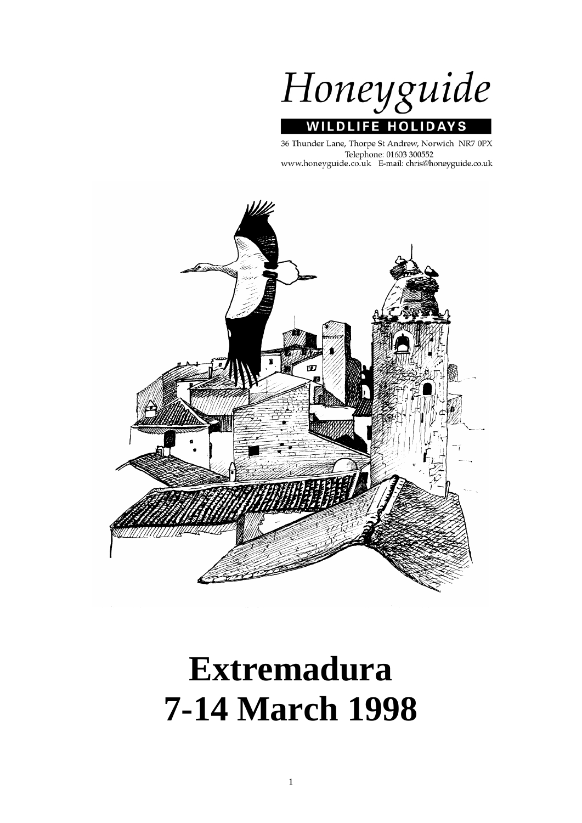Honeyguide **WILDLIFE HOLIDA** 'S

36 Thunder Lane, Thorpe St Andrew, Norwich NR7 0PX Telephone: 01603 300552 www.honeyguide.co.uk E-mail: chris@honeyguide.co.uk



# **Extremadura 7-14 March 1998**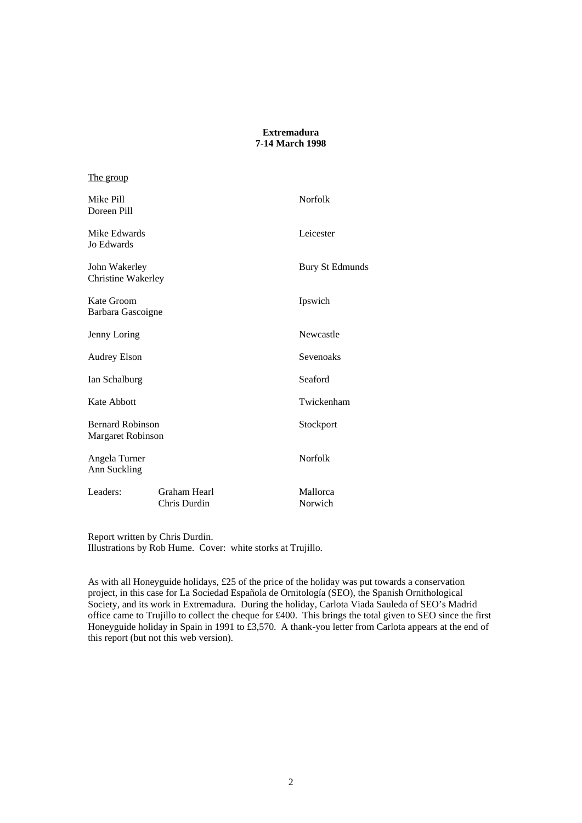## **Extremadura 7-14 March 1998**

## The group

| Mike Pill<br>Doreen Pill                            |                              |  | <b>Norfolk</b>      |
|-----------------------------------------------------|------------------------------|--|---------------------|
| Mike Edwards<br><b>Jo Edwards</b>                   |                              |  | Leicester           |
| John Wakerley<br><b>Christine Wakerley</b>          |                              |  | Bury St Edmunds     |
| Kate Groom<br>Barbara Gascoigne                     |                              |  | Ipswich             |
| Jenny Loring                                        |                              |  | Newcastle           |
| <b>Audrey Elson</b>                                 |                              |  | Sevenoaks           |
| Ian Schalburg                                       |                              |  | Seaford             |
| Kate Abbott                                         |                              |  | Twickenham          |
| <b>Bernard Robinson</b><br><b>Margaret Robinson</b> |                              |  | Stockport           |
| Angela Turner<br>Ann Suckling                       |                              |  | <b>Norfolk</b>      |
| Leaders:                                            | Graham Hearl<br>Chris Durdin |  | Mallorca<br>Norwich |

Report written by Chris Durdin. Illustrations by Rob Hume. Cover: white storks at Trujillo.

As with all Honeyguide holidays, £25 of the price of the holiday was put towards a conservation project, in this case for La Sociedad Española de Ornitología (SEO), the Spanish Ornithological Society, and its work in Extremadura. During the holiday, Carlota Viada Sauleda of SEO's Madrid office came to Trujillo to collect the cheque for £400. This brings the total given to SEO since the first Honeyguide holiday in Spain in 1991 to £3,570. A thank-you letter from Carlota appears at the end of this report (but not this web version).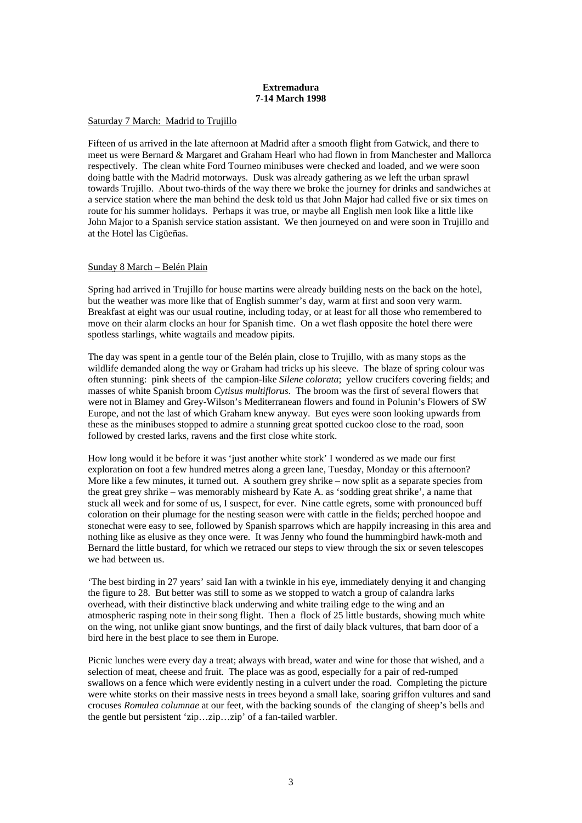#### **Extremadura 7-14 March 1998**

## Saturday 7 March: Madrid to Trujillo

Fifteen of us arrived in the late afternoon at Madrid after a smooth flight from Gatwick, and there to meet us were Bernard & Margaret and Graham Hearl who had flown in from Manchester and Mallorca respectively. The clean white Ford Tourneo minibuses were checked and loaded, and we were soon doing battle with the Madrid motorways. Dusk was already gathering as we left the urban sprawl towards Trujillo. About two-thirds of the way there we broke the journey for drinks and sandwiches at a service station where the man behind the desk told us that John Major had called five or six times on route for his summer holidays. Perhaps it was true, or maybe all English men look like a little like John Major to a Spanish service station assistant. We then journeyed on and were soon in Trujillo and at the Hotel las Cigüeñas.

#### Sunday 8 March – Belén Plain

Spring had arrived in Trujillo for house martins were already building nests on the back on the hotel, but the weather was more like that of English summer's day, warm at first and soon very warm. Breakfast at eight was our usual routine, including today, or at least for all those who remembered to move on their alarm clocks an hour for Spanish time. On a wet flash opposite the hotel there were spotless starlings, white wagtails and meadow pipits.

The day was spent in a gentle tour of the Belén plain, close to Trujillo, with as many stops as the wildlife demanded along the way or Graham had tricks up his sleeve. The blaze of spring colour was often stunning: pink sheets of the campion-like *Silene colorata*; yellow crucifers covering fields; and masses of white Spanish broom *Cytisus multiflorus*. The broom was the first of several flowers that were not in Blamey and Grey-Wilson's Mediterranean flowers and found in Polunin's Flowers of SW Europe, and not the last of which Graham knew anyway. But eyes were soon looking upwards from these as the minibuses stopped to admire a stunning great spotted cuckoo close to the road, soon followed by crested larks, ravens and the first close white stork.

How long would it be before it was 'just another white stork' I wondered as we made our first exploration on foot a few hundred metres along a green lane, Tuesday, Monday or this afternoon? More like a few minutes, it turned out. A southern grey shrike – now split as a separate species from the great grey shrike – was memorably misheard by Kate A. as 'sodding great shrike', a name that stuck all week and for some of us, I suspect, for ever. Nine cattle egrets, some with pronounced buff coloration on their plumage for the nesting season were with cattle in the fields; perched hoopoe and stonechat were easy to see, followed by Spanish sparrows which are happily increasing in this area and nothing like as elusive as they once were. It was Jenny who found the hummingbird hawk-moth and Bernard the little bustard, for which we retraced our steps to view through the six or seven telescopes we had between us.

'The best birding in 27 years' said Ian with a twinkle in his eye, immediately denying it and changing the figure to 28. But better was still to some as we stopped to watch a group of calandra larks overhead, with their distinctive black underwing and white trailing edge to the wing and an atmospheric rasping note in their song flight. Then a flock of 25 little bustards, showing much white on the wing, not unlike giant snow buntings, and the first of daily black vultures, that barn door of a bird here in the best place to see them in Europe.

Picnic lunches were every day a treat; always with bread, water and wine for those that wished, and a selection of meat, cheese and fruit. The place was as good, especially for a pair of red-rumped swallows on a fence which were evidently nesting in a culvert under the road. Completing the picture were white storks on their massive nests in trees beyond a small lake, soaring griffon vultures and sand crocuses *Romulea columnae* at our feet, with the backing sounds of the clanging of sheep's bells and the gentle but persistent 'zip…zip…zip' of a fan-tailed warbler.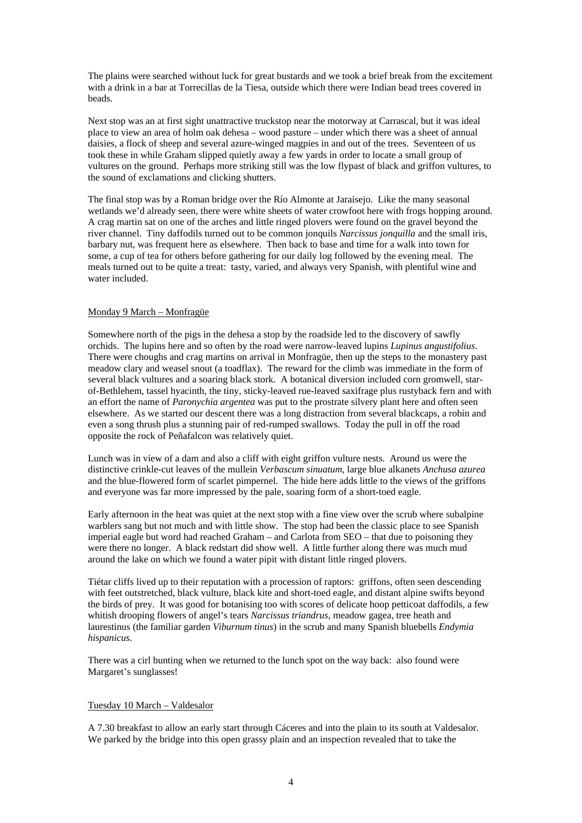The plains were searched without luck for great bustards and we took a brief break from the excitement with a drink in a bar at Torrecillas de la Tiesa, outside which there were Indian bead trees covered in beads.

Next stop was an at first sight unattractive truckstop near the motorway at Carrascal, but it was ideal place to view an area of holm oak dehesa – wood pasture – under which there was a sheet of annual daisies, a flock of sheep and several azure-winged magpies in and out of the trees. Seventeen of us took these in while Graham slipped quietly away a few yards in order to locate a small group of vultures on the ground. Perhaps more striking still was the low flypast of black and griffon vultures, to the sound of exclamations and clicking shutters.

The final stop was by a Roman bridge over the Río Almonte at Jaraisejo. Like the many seasonal wetlands we'd already seen, there were white sheets of water crowfoot here with frogs hopping around. A crag martin sat on one of the arches and little ringed plovers were found on the gravel beyond the river channel. Tiny daffodils turned out to be common jonquils *Narcissus jonquilla* and the small iris, barbary nut, was frequent here as elsewhere. Then back to base and time for a walk into town for some, a cup of tea for others before gathering for our daily log followed by the evening meal. The meals turned out to be quite a treat: tasty, varied, and always very Spanish, with plentiful wine and water included.

## Monday 9 March – Monfragüe

Somewhere north of the pigs in the dehesa a stop by the roadside led to the discovery of sawfly orchids. The lupins here and so often by the road were narrow-leaved lupins *Lupinus angustifolius*. There were choughs and crag martins on arrival in Monfragüe, then up the steps to the monastery past meadow clary and weasel snout (a toadflax). The reward for the climb was immediate in the form of several black vultures and a soaring black stork. A botanical diversion included corn gromwell, starof-Bethlehem, tassel hyacinth, the tiny, sticky-leaved rue-leaved saxifrage plus rustyback fern and with an effort the name of *Paronychia argentea* was put to the prostrate silvery plant here and often seen elsewhere. As we started our descent there was a long distraction from several blackcaps, a robin and even a song thrush plus a stunning pair of red-rumped swallows. Today the pull in off the road opposite the rock of Peñafalcon was relatively quiet.

Lunch was in view of a dam and also a cliff with eight griffon vulture nests. Around us were the distinctive crinkle-cut leaves of the mullein *Verbascum sinuatum*, large blue alkanets *Anchusa azurea* and the blue-flowered form of scarlet pimpernel. The hide here adds little to the views of the griffons and everyone was far more impressed by the pale, soaring form of a short-toed eagle.

Early afternoon in the heat was quiet at the next stop with a fine view over the scrub where subalpine warblers sang but not much and with little show. The stop had been the classic place to see Spanish imperial eagle but word had reached Graham – and Carlota from SEO – that due to poisoning they were there no longer. A black redstart did show well. A little further along there was much mud around the lake on which we found a water pipit with distant little ringed plovers.

Tiétar cliffs lived up to their reputation with a procession of raptors: griffons, often seen descending with feet outstretched, black vulture, black kite and short-toed eagle, and distant alpine swifts beyond the birds of prey. It was good for botanising too with scores of delicate hoop petticoat daffodils, a few whitish drooping flowers of angel's tears *Narcissus triandrus*, meadow gagea, tree heath and laurestinus (the familiar garden *Viburnum tinus*) in the scrub and many Spanish bluebells *Endymia hispanicus*.

There was a cirl bunting when we returned to the lunch spot on the way back: also found were Margaret's sunglasses!

## Tuesday 10 March – Valdesalor

A 7.30 breakfast to allow an early start through Cáceres and into the plain to its south at Valdesalor. We parked by the bridge into this open grassy plain and an inspection revealed that to take the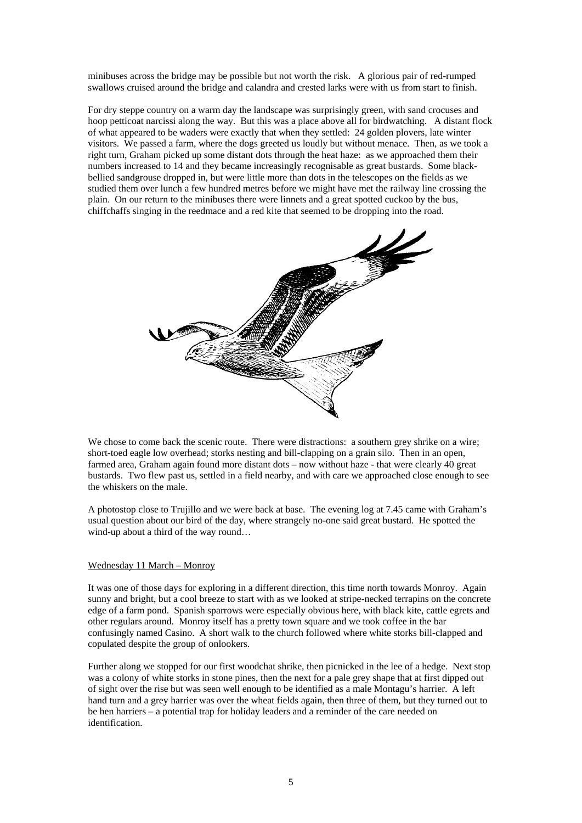minibuses across the bridge may be possible but not worth the risk. A glorious pair of red-rumped swallows cruised around the bridge and calandra and crested larks were with us from start to finish.

For dry steppe country on a warm day the landscape was surprisingly green, with sand crocuses and hoop petticoat narcissi along the way. But this was a place above all for birdwatching. A distant flock of what appeared to be waders were exactly that when they settled: 24 golden plovers, late winter visitors. We passed a farm, where the dogs greeted us loudly but without menace. Then, as we took a right turn, Graham picked up some distant dots through the heat haze: as we approached them their numbers increased to 14 and they became increasingly recognisable as great bustards. Some blackbellied sandgrouse dropped in, but were little more than dots in the telescopes on the fields as we studied them over lunch a few hundred metres before we might have met the railway line crossing the plain. On our return to the minibuses there were linnets and a great spotted cuckoo by the bus, chiffchaffs singing in the reedmace and a red kite that seemed to be dropping into the road.



We chose to come back the scenic route. There were distractions: a southern grey shrike on a wire; short-toed eagle low overhead; storks nesting and bill-clapping on a grain silo. Then in an open, farmed area, Graham again found more distant dots – now without haze - that were clearly 40 great bustards. Two flew past us, settled in a field nearby, and with care we approached close enough to see the whiskers on the male.

A photostop close to Trujillo and we were back at base. The evening log at 7.45 came with Graham's usual question about our bird of the day, where strangely no-one said great bustard. He spotted the wind-up about a third of the way round…

#### Wednesday 11 March – Monroy

It was one of those days for exploring in a different direction, this time north towards Monroy. Again sunny and bright, but a cool breeze to start with as we looked at stripe-necked terrapins on the concrete edge of a farm pond. Spanish sparrows were especially obvious here, with black kite, cattle egrets and other regulars around. Monroy itself has a pretty town square and we took coffee in the bar confusingly named Casino. A short walk to the church followed where white storks bill-clapped and copulated despite the group of onlookers.

Further along we stopped for our first woodchat shrike, then picnicked in the lee of a hedge. Next stop was a colony of white storks in stone pines, then the next for a pale grey shape that at first dipped out of sight over the rise but was seen well enough to be identified as a male Montagu's harrier. A left hand turn and a grey harrier was over the wheat fields again, then three of them, but they turned out to be hen harriers – a potential trap for holiday leaders and a reminder of the care needed on identification.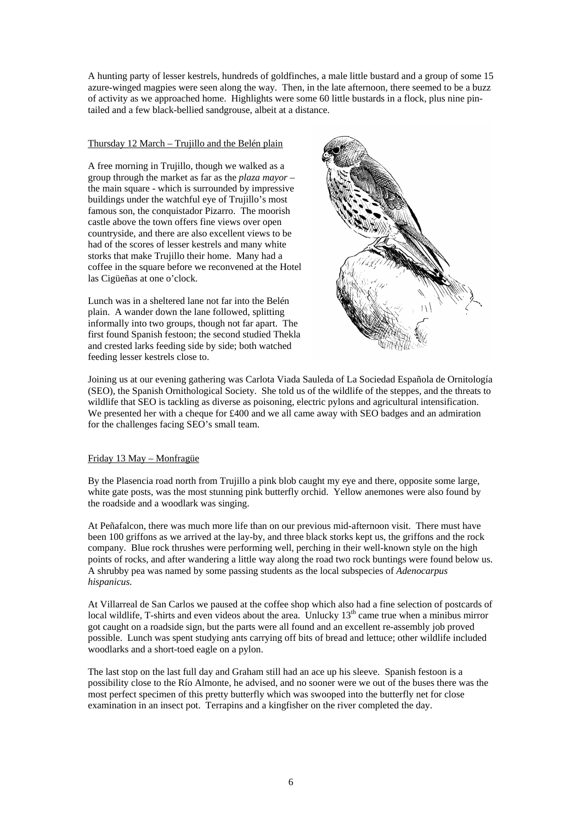A hunting party of lesser kestrels, hundreds of goldfinches, a male little bustard and a group of some 15 azure-winged magpies were seen along the way. Then, in the late afternoon, there seemed to be a buzz of activity as we approached home. Highlights were some 60 little bustards in a flock, plus nine pintailed and a few black-bellied sandgrouse, albeit at a distance.

## Thursday 12 March – Trujillo and the Belén plain

A free morning in Trujillo, though we walked as a group through the market as far as the *plaza mayor* – the main square - which is surrounded by impressive buildings under the watchful eye of Trujillo's most famous son, the conquistador Pizarro. The moorish castle above the town offers fine views over open countryside, and there are also excellent views to be had of the scores of lesser kestrels and many white storks that make Trujillo their home. Many had a coffee in the square before we reconvened at the Hotel las Cigüeñas at one o'clock.

Lunch was in a sheltered lane not far into the Belén plain. A wander down the lane followed, splitting informally into two groups, though not far apart. The first found Spanish festoon; the second studied Thekla and crested larks feeding side by side; both watched feeding lesser kestrels close to.



Joining us at our evening gathering was Carlota Viada Sauleda of La Sociedad Española de Ornitología (SEO), the Spanish Ornithological Society. She told us of the wildlife of the steppes, and the threats to wildlife that SEO is tackling as diverse as poisoning, electric pylons and agricultural intensification. We presented her with a cheque for £400 and we all came away with SEO badges and an admiration for the challenges facing SEO's small team.

## Friday 13 May – Monfragüe

By the Plasencia road north from Trujillo a pink blob caught my eye and there, opposite some large, white gate posts, was the most stunning pink butterfly orchid. Yellow anemones were also found by the roadside and a woodlark was singing.

At Peñafalcon, there was much more life than on our previous mid-afternoon visit. There must have been 100 griffons as we arrived at the lay-by, and three black storks kept us, the griffons and the rock company. Blue rock thrushes were performing well, perching in their well-known style on the high points of rocks, and after wandering a little way along the road two rock buntings were found below us. A shrubby pea was named by some passing students as the local subspecies of *Adenocarpus hispanicus.* 

At Villarreal de San Carlos we paused at the coffee shop which also had a fine selection of postcards of local wildlife, T-shirts and even videos about the area. Unlucky  $13<sup>th</sup>$  came true when a minibus mirror got caught on a roadside sign, but the parts were all found and an excellent re-assembly job proved possible. Lunch was spent studying ants carrying off bits of bread and lettuce; other wildlife included woodlarks and a short-toed eagle on a pylon.

The last stop on the last full day and Graham still had an ace up his sleeve. Spanish festoon is a possibility close to the Río Almonte, he advised, and no sooner were we out of the buses there was the most perfect specimen of this pretty butterfly which was swooped into the butterfly net for close examination in an insect pot. Terrapins and a kingfisher on the river completed the day.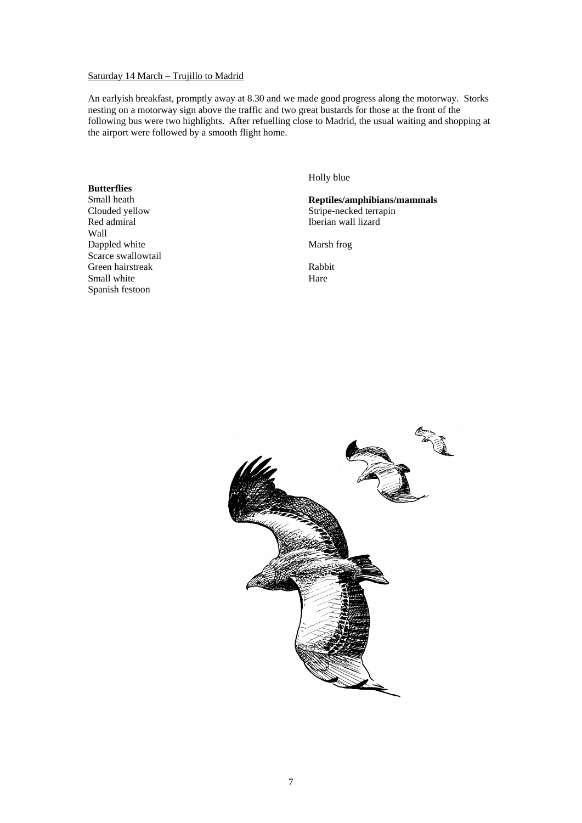## Saturday 14 March – Trujillo to Madrid

An earlyish breakfast, promptly away at 8.30 and we made good progress along the motorway. Storks nesting on a motorway sign above the traffic and two great bustards for those at the front of the following bus were two highlights. After refuelling close to Madrid, the usual waiting and shopping at the airport were followed by a smooth flight home.

## **Butterflies**

Small heath Clouded yellow Red admiral Wall Dappled white Scarce swallowtail Green hairstreak Small white Spanish festoon

Holly blue

**Reptiles/amphibians/mammals**  Stripe-necked terrapin Iberian wall lizard

Marsh frog

Rabbit Hare